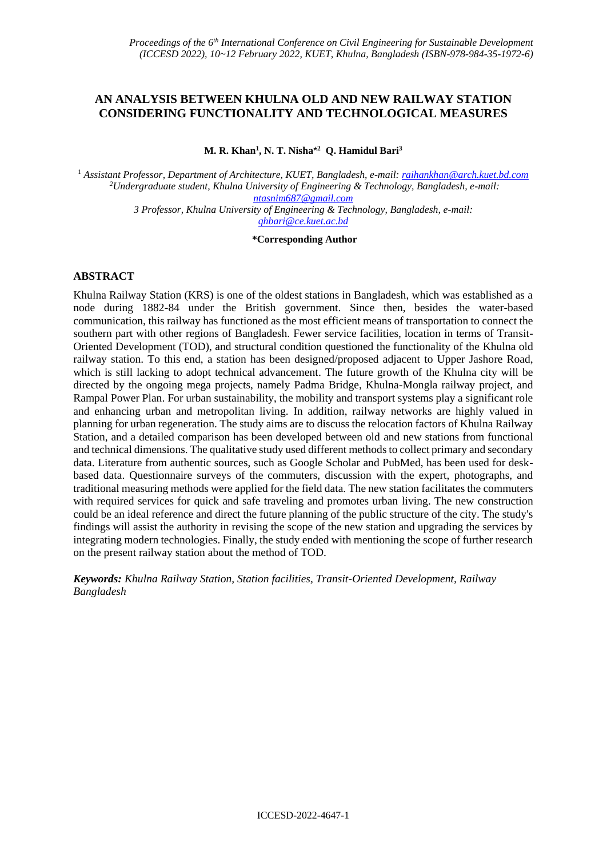## **AN ANALYSIS BETWEEN KHULNA OLD AND NEW RAILWAY STATION CONSIDERING FUNCTIONALITY AND TECHNOLOGICAL MEASURES**

**M. R. Khan<sup>1</sup> , N. T. Nisha**\* **2 Q. Hamidul Bari<sup>3</sup>**

<sup>1</sup> *Assistant Professor, Department of Architecture, KUET, Bangladesh, e-mail[: raihankhan@arch.kuet.bd.com](mailto:raihankhan@arch.kuet.bd.com) <sup>2</sup>Undergraduate student, Khulna University of Engineering & Technology, Bangladesh, e-mail: [ntasnim687@gmail.com](mailto:ntasnim687@gmail.com) 3 Professor, Khulna University of Engineering & Technology, Bangladesh, e-mail: qhbari@ce.kuet.ac.bd*

**\*Corresponding Author**

### **ABSTRACT**

Khulna Railway Station (KRS) is one of the oldest stations in Bangladesh, which was established as a node during 1882-84 under the British government. Since then, besides the water-based communication, this railway has functioned as the most efficient means of transportation to connect the southern part with other regions of Bangladesh. Fewer service facilities, location in terms of Transit-Oriented Development (TOD), and structural condition questioned the functionality of the Khulna old railway station. To this end, a station has been designed/proposed adjacent to Upper Jashore Road, which is still lacking to adopt technical advancement. The future growth of the Khulna city will be directed by the ongoing mega projects, namely Padma Bridge, Khulna-Mongla railway project, and Rampal Power Plan. For urban sustainability, the mobility and transport systems play a significant role and enhancing urban and metropolitan living. In addition, railway networks are highly valued in planning for urban regeneration. The study aims are to discuss the relocation factors of Khulna Railway Station, and a detailed comparison has been developed between old and new stations from functional and technical dimensions. The qualitative study used different methods to collect primary and secondary data. Literature from authentic sources, such as Google Scholar and PubMed, has been used for deskbased data. Questionnaire surveys of the commuters, discussion with the expert, photographs, and traditional measuring methods were applied for the field data. The new station facilitates the commuters with required services for quick and safe traveling and promotes urban living. The new construction could be an ideal reference and direct the future planning of the public structure of the city. The study's findings will assist the authority in revising the scope of the new station and upgrading the services by integrating modern technologies. Finally, the study ended with mentioning the scope of further research on the present railway station about the method of TOD.

*Keywords: Khulna Railway Station, Station facilities, Transit-Oriented Development, Railway Bangladesh*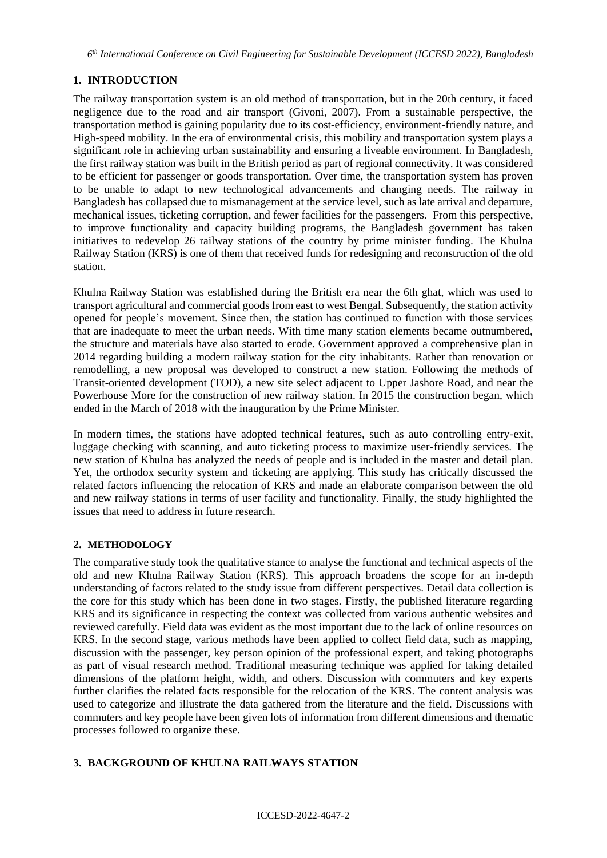*6 th International Conference on Civil Engineering for Sustainable Development (ICCESD 2022), Bangladesh*

## **1. INTRODUCTION**

The railway transportation system is an old method of transportation, but in the 20th century, it faced negligence due to the road and air transport (Givoni, 2007). From a sustainable perspective, the transportation method is gaining popularity due to its cost-efficiency, environment-friendly nature, and High-speed mobility. In the era of environmental crisis, this mobility and transportation system plays a significant role in achieving urban sustainability and ensuring a liveable environment. In Bangladesh, the first railway station was built in the British period as part of regional connectivity. It was considered to be efficient for passenger or goods transportation. Over time, the transportation system has proven to be unable to adapt to new technological advancements and changing needs. The railway in Bangladesh has collapsed due to mismanagement at the service level, such as late arrival and departure, mechanical issues, ticketing corruption, and fewer facilities for the passengers. From this perspective, to improve functionality and capacity building programs, the Bangladesh government has taken initiatives to redevelop 26 railway stations of the country by prime minister funding. The Khulna Railway Station (KRS) is one of them that received funds for redesigning and reconstruction of the old station.

Khulna Railway Station was established during the British era near the 6th ghat, which was used to transport agricultural and commercial goods from east to west Bengal. Subsequently, the station activity opened for people's movement. Since then, the station has continued to function with those services that are inadequate to meet the urban needs. With time many station elements became outnumbered, the structure and materials have also started to erode. Government approved a comprehensive plan in 2014 regarding building a modern railway station for the city inhabitants. Rather than renovation or remodelling, a new proposal was developed to construct a new station. Following the methods of Transit-oriented development (TOD), a new site select adjacent to Upper Jashore Road, and near the Powerhouse More for the construction of new railway station. In 2015 the construction began, which ended in the March of 2018 with the inauguration by the Prime Minister.

In modern times, the stations have adopted technical features, such as auto controlling entry-exit, luggage checking with scanning, and auto ticketing process to maximize user-friendly services. The new station of Khulna has analyzed the needs of people and is included in the master and detail plan. Yet, the orthodox security system and ticketing are applying. This study has critically discussed the related factors influencing the relocation of KRS and made an elaborate comparison between the old and new railway stations in terms of user facility and functionality. Finally, the study highlighted the issues that need to address in future research.

## **2. METHODOLOGY**

The comparative study took the qualitative stance to analyse the functional and technical aspects of the old and new Khulna Railway Station (KRS). This approach broadens the scope for an in-depth understanding of factors related to the study issue from different perspectives. Detail data collection is the core for this study which has been done in two stages. Firstly, the published literature regarding KRS and its significance in respecting the context was collected from various authentic websites and reviewed carefully. Field data was evident as the most important due to the lack of online resources on KRS. In the second stage, various methods have been applied to collect field data, such as mapping, discussion with the passenger, key person opinion of the professional expert, and taking photographs as part of visual research method. Traditional measuring technique was applied for taking detailed dimensions of the platform height, width, and others. Discussion with commuters and key experts further clarifies the related facts responsible for the relocation of the KRS. The content analysis was used to categorize and illustrate the data gathered from the literature and the field. Discussions with commuters and key people have been given lots of information from different dimensions and thematic processes followed to organize these.

# **3. BACKGROUND OF KHULNA RAILWAYS STATION**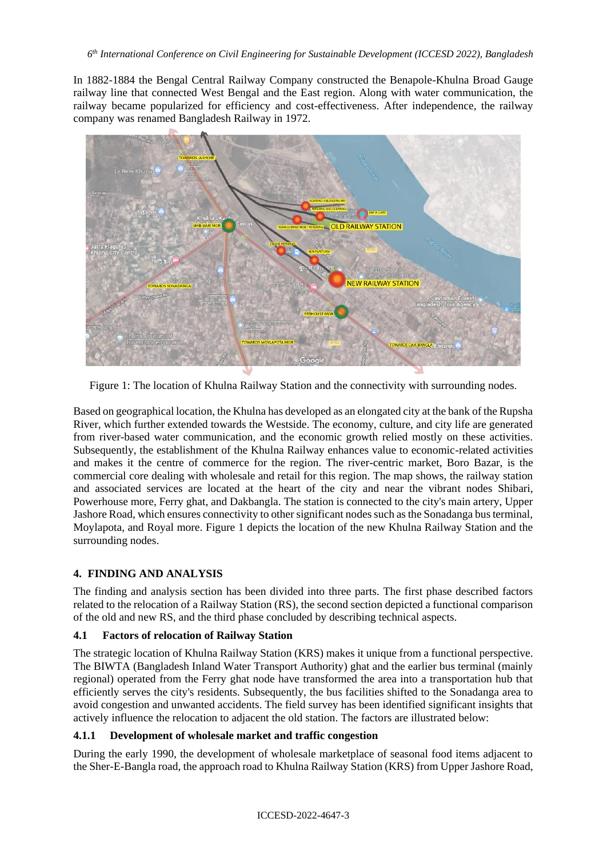In 1882-1884 the Bengal Central Railway Company constructed the Benapole-Khulna Broad Gauge railway line that connected West Bengal and the East region. Along with water communication, the railway became popularized for efficiency and cost-effectiveness. After independence, the railway company was renamed Bangladesh Railway in 1972.



Figure 1: The location of Khulna Railway Station and the connectivity with surrounding nodes.

Based on geographical location, the Khulna has developed as an elongated city at the bank of the Rupsha River, which further extended towards the Westside. The economy, culture, and city life are generated from river-based water communication, and the economic growth relied mostly on these activities. Subsequently, the establishment of the Khulna Railway enhances value to economic-related activities and makes it the centre of commerce for the region. The river-centric market, Boro Bazar, is the commercial core dealing with wholesale and retail for this region. The map shows, the railway station and associated services are located at the heart of the city and near the vibrant nodes Shibari, Powerhouse more, Ferry ghat, and Dakbangla. The station is connected to the city's main artery, Upper Jashore Road, which ensures connectivity to other significant nodes such as the Sonadanga bus terminal, Moylapota, and Royal more. Figure 1 depicts the location of the new Khulna Railway Station and the surrounding nodes.

# **4. FINDING AND ANALYSIS**

The finding and analysis section has been divided into three parts. The first phase described factors related to the relocation of a Railway Station (RS), the second section depicted a functional comparison of the old and new RS, and the third phase concluded by describing technical aspects.

## **4.1 Factors of relocation of Railway Station**

The strategic location of Khulna Railway Station (KRS) makes it unique from a functional perspective. The BIWTA (Bangladesh Inland Water Transport Authority) ghat and the earlier bus terminal (mainly regional) operated from the Ferry ghat node have transformed the area into a transportation hub that efficiently serves the city's residents. Subsequently, the bus facilities shifted to the Sonadanga area to avoid congestion and unwanted accidents. The field survey has been identified significant insights that actively influence the relocation to adjacent the old station. The factors are illustrated below:

### **4.1.1 Development of wholesale market and traffic congestion**

During the early 1990, the development of wholesale marketplace of seasonal food items adjacent to the Sher-E-Bangla road, the approach road to Khulna Railway Station (KRS) from Upper Jashore Road,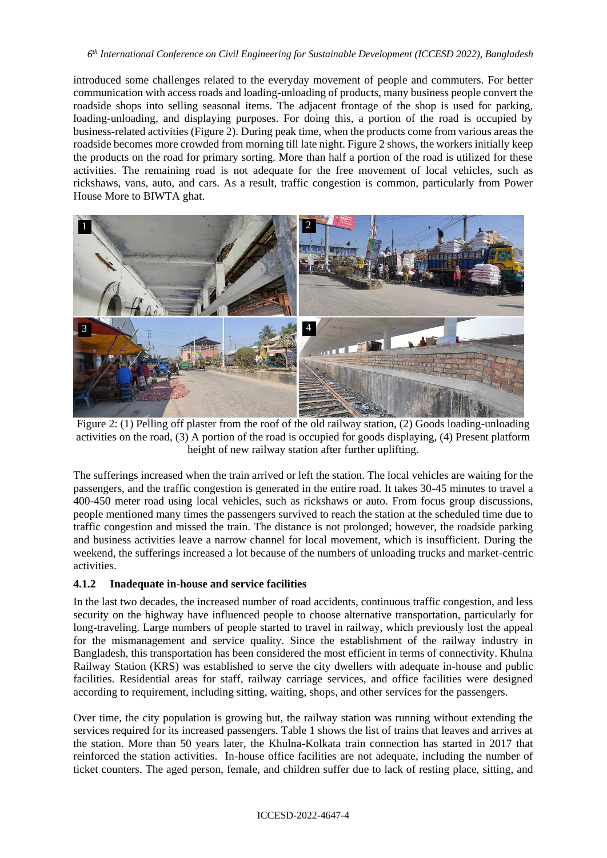### *6 th International Conference on Civil Engineering for Sustainable Development (ICCESD 2022), Bangladesh*

introduced some challenges related to the everyday movement of people and commuters. For better communication with access roads and loading-unloading of products, many business people convert the roadside shops into selling seasonal items. The adjacent frontage of the shop is used for parking, loading-unloading, and displaying purposes. For doing this, a portion of the road is occupied by business-related activities (Figure 2). During peak time, when the products come from various areas the roadside becomes more crowded from morning till late night. Figure 2 shows, the workers initially keep the products on the road for primary sorting. More than half a portion of the road is utilized for these activities. The remaining road is not adequate for the free movement of local vehicles, such as rickshaws, vans, auto, and cars. As a result, traffic congestion is common, particularly from Power House More to BIWTA ghat.



Figure 2: (1) Pelling off plaster from the roof of the old railway station, (2) Goods loading-unloading activities on the road, (3) A portion of the road is occupied for goods displaying, (4) Present platform height of new railway station after further uplifting.

The sufferings increased when the train arrived or left the station. The local vehicles are waiting for the passengers, and the traffic congestion is generated in the entire road. It takes 30-45 minutes to travel a 400-450 meter road using local vehicles, such as rickshaws or auto. From focus group discussions, people mentioned many times the passengers survived to reach the station at the scheduled time due to traffic congestion and missed the train. The distance is not prolonged; however, the roadside parking and business activities leave a narrow channel for local movement, which is insufficient. During the weekend, the sufferings increased a lot because of the numbers of unloading trucks and market-centric activities.

### **4.1.2 Inadequate in-house and service facilities**

In the last two decades, the increased number of road accidents, continuous traffic congestion, and less security on the highway have influenced people to choose alternative transportation, particularly for long-traveling. Large numbers of people started to travel in railway, which previously lost the appeal for the mismanagement and service quality. Since the establishment of the railway industry in Bangladesh, this transportation has been considered the most efficient in terms of connectivity. Khulna Railway Station (KRS) was established to serve the city dwellers with adequate in-house and public facilities. Residential areas for staff, railway carriage services, and office facilities were designed according to requirement, including sitting, waiting, shops, and other services for the passengers.

Over time, the city population is growing but, the railway station was running without extending the services required for its increased passengers. Table 1 shows the list of trains that leaves and arrives at the station. More than 50 years later, the Khulna-Kolkata train connection has started in 2017 that reinforced the station activities. In-house office facilities are not adequate, including the number of ticket counters. The aged person, female, and children suffer due to lack of resting place, sitting, and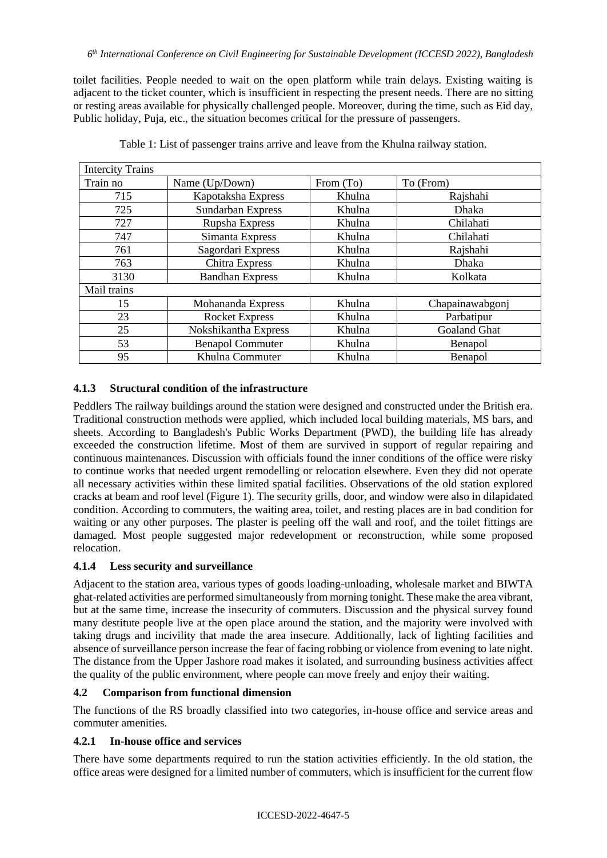toilet facilities. People needed to wait on the open platform while train delays. Existing waiting is adjacent to the ticket counter, which is insufficient in respecting the present needs. There are no sitting or resting areas available for physically challenged people. Moreover, during the time, such as Eid day, Public holiday, Puja, etc., the situation becomes critical for the pressure of passengers.

| <b>Intercity Trains</b> |                          |           |                     |
|-------------------------|--------------------------|-----------|---------------------|
| Train no                | Name (Up/Down)           | From (To) | To (From)           |
| 715                     | Kapotaksha Express       | Khulna    | Rajshahi            |
| 725                     | <b>Sundarban Express</b> | Khulna    | <b>Dhaka</b>        |
| 727                     | Rupsha Express           | Khulna    | Chilahati           |
| 747                     | Simanta Express          | Khulna    | Chilahati           |
| 761                     | Sagordari Express        | Khulna    | Rajshahi            |
| 763                     | Chitra Express           | Khulna    | <b>Dhaka</b>        |
| 3130                    | <b>Bandhan Express</b>   | Khulna    | Kolkata             |
| Mail trains             |                          |           |                     |
| 15                      | Mohananda Express        | Khulna    | Chapainawabgonj     |
| 23                      | <b>Rocket Express</b>    | Khulna    | Parbatipur          |
| 25                      | Nokshikantha Express     | Khulna    | <b>Goaland Ghat</b> |
| 53                      | <b>Benapol Commuter</b>  | Khulna    | Benapol             |
| 95                      | Khulna Commuter          | Khulna    | Benapol             |

Table 1: List of passenger trains arrive and leave from the Khulna railway station.

## **4.1.3 Structural condition of the infrastructure**

Peddlers The railway buildings around the station were designed and constructed under the British era. Traditional construction methods were applied, which included local building materials, MS bars, and sheets. According to Bangladesh's Public Works Department (PWD), the building life has already exceeded the construction lifetime. Most of them are survived in support of regular repairing and continuous maintenances. Discussion with officials found the inner conditions of the office were risky to continue works that needed urgent remodelling or relocation elsewhere. Even they did not operate all necessary activities within these limited spatial facilities. Observations of the old station explored cracks at beam and roof level (Figure 1). The security grills, door, and window were also in dilapidated condition. According to commuters, the waiting area, toilet, and resting places are in bad condition for waiting or any other purposes. The plaster is peeling off the wall and roof, and the toilet fittings are damaged. Most people suggested major redevelopment or reconstruction, while some proposed relocation.

## **4.1.4 Less security and surveillance**

Adjacent to the station area, various types of goods loading-unloading, wholesale market and BIWTA ghat-related activities are performed simultaneously from morning tonight. These make the area vibrant, but at the same time, increase the insecurity of commuters. Discussion and the physical survey found many destitute people live at the open place around the station, and the majority were involved with taking drugs and incivility that made the area insecure. Additionally, lack of lighting facilities and absence of surveillance person increase the fear of facing robbing or violence from evening to late night. The distance from the Upper Jashore road makes it isolated, and surrounding business activities affect the quality of the public environment, where people can move freely and enjoy their waiting.

### **4.2 Comparison from functional dimension**

The functions of the RS broadly classified into two categories, in-house office and service areas and commuter amenities.

## **4.2.1 In-house office and services**

There have some departments required to run the station activities efficiently. In the old station, the office areas were designed for a limited number of commuters, which is insufficient for the current flow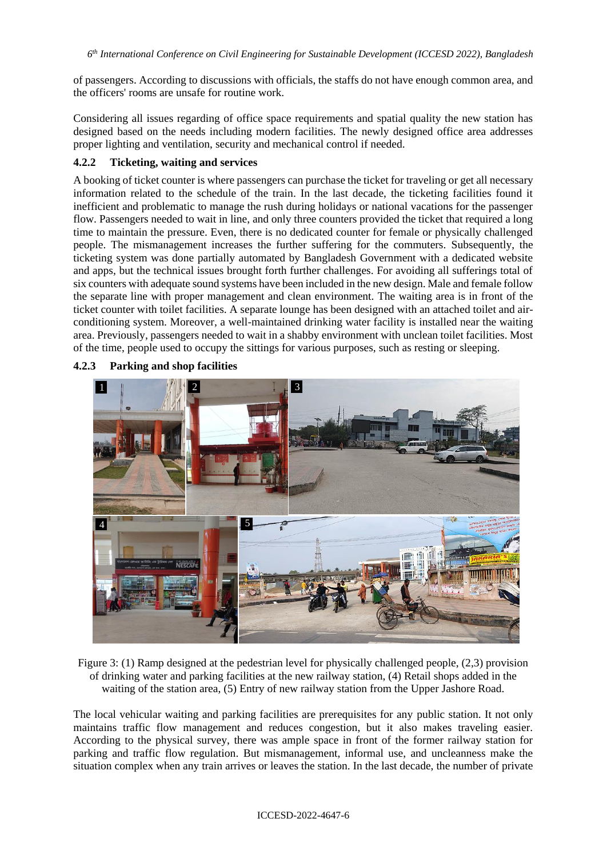of passengers. According to discussions with officials, the staffs do not have enough common area, and the officers' rooms are unsafe for routine work.

Considering all issues regarding of office space requirements and spatial quality the new station has designed based on the needs including modern facilities. The newly designed office area addresses proper lighting and ventilation, security and mechanical control if needed.

### **4.2.2 Ticketing, waiting and services**

A booking of ticket counter is where passengers can purchase the ticket for traveling or get all necessary information related to the schedule of the train. In the last decade, the ticketing facilities found it inefficient and problematic to manage the rush during holidays or national vacations for the passenger flow. Passengers needed to wait in line, and only three counters provided the ticket that required a long time to maintain the pressure. Even, there is no dedicated counter for female or physically challenged people. The mismanagement increases the further suffering for the commuters. Subsequently, the ticketing system was done partially automated by Bangladesh Government with a dedicated website and apps, but the technical issues brought forth further challenges. For avoiding all sufferings total of six counters with adequate sound systems have been included in the new design. Male and female follow the separate line with proper management and clean environment. The waiting area is in front of the ticket counter with toilet facilities. A separate lounge has been designed with an attached toilet and airconditioning system. Moreover, a well-maintained drinking water facility is installed near the waiting area. Previously, passengers needed to wait in a shabby environment with unclean toilet facilities. Most of the time, people used to occupy the sittings for various purposes, such as resting or sleeping.



**4.2.3 Parking and shop facilities**

Figure 3: (1) Ramp designed at the pedestrian level for physically challenged people, (2,3) provision of drinking water and parking facilities at the new railway station, (4) Retail shops added in the waiting of the station area, (5) Entry of new railway station from the Upper Jashore Road.

The local vehicular waiting and parking facilities are prerequisites for any public station. It not only maintains traffic flow management and reduces congestion, but it also makes traveling easier. According to the physical survey, there was ample space in front of the former railway station for parking and traffic flow regulation. But mismanagement, informal use, and uncleanness make the situation complex when any train arrives or leaves the station. In the last decade, the number of private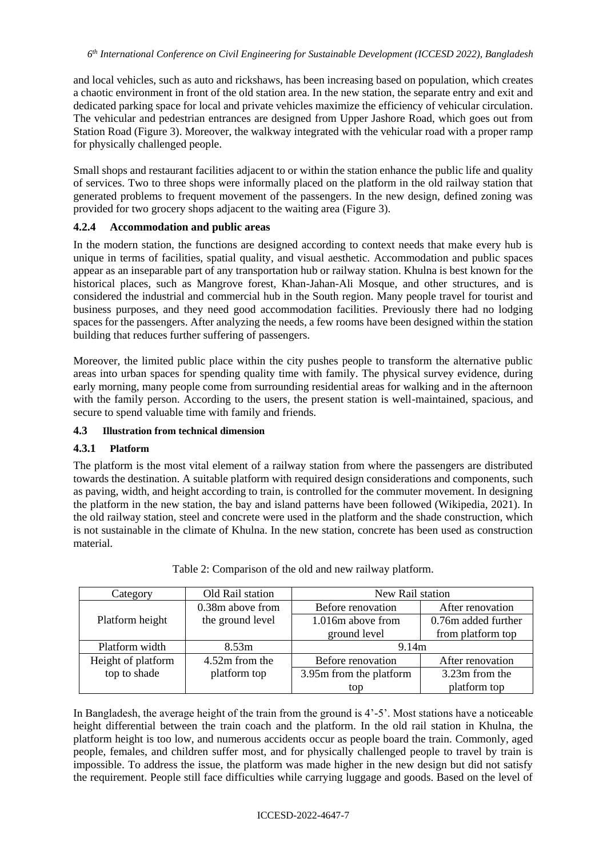and local vehicles, such as auto and rickshaws, has been increasing based on population, which creates a chaotic environment in front of the old station area. In the new station, the separate entry and exit and dedicated parking space for local and private vehicles maximize the efficiency of vehicular circulation. The vehicular and pedestrian entrances are designed from Upper Jashore Road, which goes out from Station Road (Figure 3). Moreover, the walkway integrated with the vehicular road with a proper ramp for physically challenged people.

Small shops and restaurant facilities adjacent to or within the station enhance the public life and quality of services. Two to three shops were informally placed on the platform in the old railway station that generated problems to frequent movement of the passengers. In the new design, defined zoning was provided for two grocery shops adjacent to the waiting area (Figure 3).

### **4.2.4 Accommodation and public areas**

In the modern station, the functions are designed according to context needs that make every hub is unique in terms of facilities, spatial quality, and visual aesthetic. Accommodation and public spaces appear as an inseparable part of any transportation hub or railway station. Khulna is best known for the historical places, such as Mangrove forest, Khan-Jahan-Ali Mosque, and other structures, and is considered the industrial and commercial hub in the South region. Many people travel for tourist and business purposes, and they need good accommodation facilities. Previously there had no lodging spaces for the passengers. After analyzing the needs, a few rooms have been designed within the station building that reduces further suffering of passengers.

Moreover, the limited public place within the city pushes people to transform the alternative public areas into urban spaces for spending quality time with family. The physical survey evidence, during early morning, many people come from surrounding residential areas for walking and in the afternoon with the family person. According to the users, the present station is well-maintained, spacious, and secure to spend valuable time with family and friends.

### **4.3 Illustration from technical dimension**

### **4.3.1 Platform**

The platform is the most vital element of a railway station from where the passengers are distributed towards the destination. A suitable platform with required design considerations and components, such as paving, width, and height according to train, is controlled for the commuter movement. In designing the platform in the new station, the bay and island patterns have been followed (Wikipedia, 2021). In the old railway station, steel and concrete were used in the platform and the shade construction, which is not sustainable in the climate of Khulna. In the new station, concrete has been used as construction material.

| Category           | Old Rail station | New Rail station        |                     |  |
|--------------------|------------------|-------------------------|---------------------|--|
|                    | 0.38m above from | Before renovation       | After renovation    |  |
| Platform height    | the ground level | 1.016m above from       | 0.76m added further |  |
|                    |                  | ground level            | from platform top   |  |
| Platform width     | 8.53m            | 9.14m                   |                     |  |
| Height of platform | 4.52m from the   | Before renovation       | After renovation    |  |
| top to shade       | platform top     | 3.95m from the platform | 3.23m from the      |  |
|                    |                  | top                     | platform top        |  |

Table 2: Comparison of the old and new railway platform.

In Bangladesh, the average height of the train from the ground is 4'-5'. Most stations have a noticeable height differential between the train coach and the platform. In the old rail station in Khulna, the platform height is too low, and numerous accidents occur as people board the train. Commonly, aged people, females, and children suffer most, and for physically challenged people to travel by train is impossible. To address the issue, the platform was made higher in the new design but did not satisfy the requirement. People still face difficulties while carrying luggage and goods. Based on the level of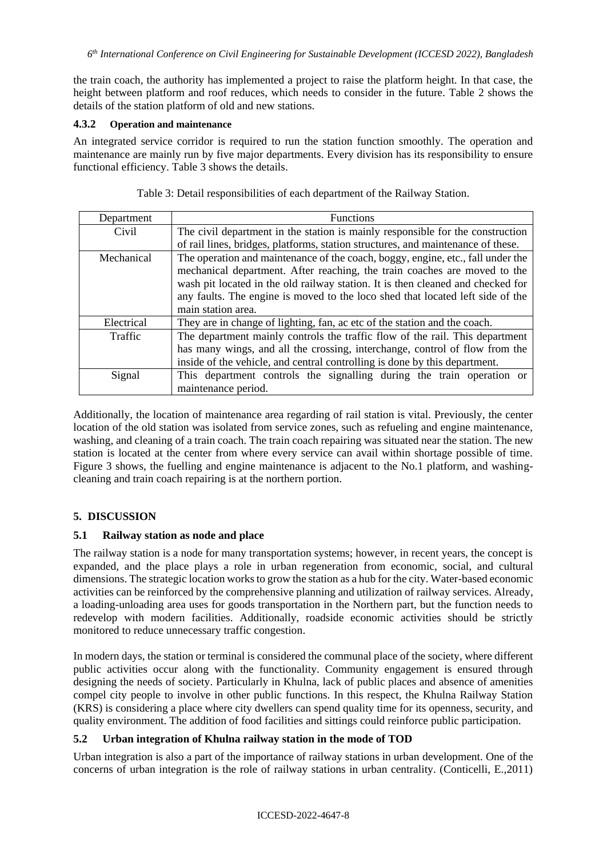the train coach, the authority has implemented a project to raise the platform height. In that case, the height between platform and roof reduces, which needs to consider in the future. Table 2 shows the details of the station platform of old and new stations.

#### **4.3.2 Operation and maintenance**

An integrated service corridor is required to run the station function smoothly. The operation and maintenance are mainly run by five major departments. Every division has its responsibility to ensure functional efficiency. Table 3 shows the details.

| Department | <b>Functions</b>                                                                 |  |  |
|------------|----------------------------------------------------------------------------------|--|--|
| Civil      | The civil department in the station is mainly responsible for the construction   |  |  |
|            | of rail lines, bridges, platforms, station structures, and maintenance of these. |  |  |
| Mechanical | The operation and maintenance of the coach, boggy, engine, etc., fall under the  |  |  |
|            | mechanical department. After reaching, the train coaches are moved to the        |  |  |
|            | wash pit located in the old railway station. It is then cleaned and checked for  |  |  |
|            | any faults. The engine is moved to the loco shed that located left side of the   |  |  |
|            | main station area.                                                               |  |  |
| Electrical | They are in change of lighting, fan, ac etc of the station and the coach.        |  |  |
| Traffic    | The department mainly controls the traffic flow of the rail. This department     |  |  |
|            | has many wings, and all the crossing, interchange, control of flow from the      |  |  |
|            | inside of the vehicle, and central controlling is done by this department.       |  |  |
| Signal     | This department controls the signalling during the train operation or            |  |  |
|            | maintenance period.                                                              |  |  |

Table 3: Detail responsibilities of each department of the Railway Station.

Additionally, the location of maintenance area regarding of rail station is vital. Previously, the center location of the old station was isolated from service zones, such as refueling and engine maintenance, washing, and cleaning of a train coach. The train coach repairing was situated near the station. The new station is located at the center from where every service can avail within shortage possible of time. Figure 3 shows, the fuelling and engine maintenance is adjacent to the No.1 platform, and washingcleaning and train coach repairing is at the northern portion.

## **5. DISCUSSION**

### **5.1 Railway station as node and place**

The railway station is a node for many transportation systems; however, in recent years, the concept is expanded, and the place plays a role in urban regeneration from economic, social, and cultural dimensions. The strategic location works to grow the station as a hub for the city. Water-based economic activities can be reinforced by the comprehensive planning and utilization of railway services. Already, a loading-unloading area uses for goods transportation in the Northern part, but the function needs to redevelop with modern facilities. Additionally, roadside economic activities should be strictly monitored to reduce unnecessary traffic congestion.

In modern days, the station or terminal is considered the communal place of the society, where different public activities occur along with the functionality. Community engagement is ensured through designing the needs of society. Particularly in Khulna, lack of public places and absence of amenities compel city people to involve in other public functions. In this respect, the Khulna Railway Station (KRS) is considering a place where city dwellers can spend quality time for its openness, security, and quality environment. The addition of food facilities and sittings could reinforce public participation.

## **5.2 Urban integration of Khulna railway station in the mode of TOD**

Urban integration is also a part of the importance of railway stations in urban development. One of the concerns of urban integration is the role of railway stations in urban centrality. (Conticelli, E.,2011)